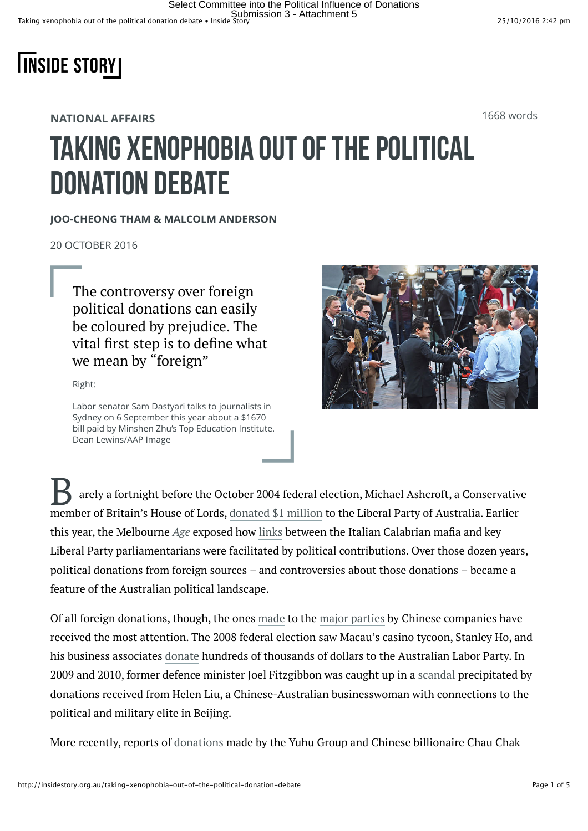

**NATIONAL AFFAIRS**

1668 words

## Taking xenophobia out of the political donation debate

## **JOO-CHEONG THAM & MALCOLM ANDERSON**

20 OCTOBER 2016

The controversy over foreign political donations can easily be coloured by prejudice. The vital first step is to define what we mean by "foreign"

Right:

Labor senator Sam Dastyari talks to journalists in Sydney on 6 September this year about a \$1670 bill paid by Minshen Zhu's Top Education Institute. Dean Lewins/AAP Image



arely a fortnight before the October 2004 federal election, Michael Ashcroft, a Conservative member of Britain's House of Lords, [donated \\$1 million](http://www.abc.net.au/worldtoday/content/2006/s1559893.htm) to the Liberal Party of Australia. Earlier this year, the Melbourne *Age* exposed how [links](http://www.theage.com.au/national/mafia-advisers-meetings-with-malcolm-turnbull-mps-20160522-gp0slh.html) between the Italian Calabrian mafia and key Liberal Party parliamentarians were facilitated by political contributions. Over those dozen years, political donations from foreign sources – and controversies about those donations – became a feature of the Australian political landscape.

Of all foreign donations, though, the ones [made](http://www.smh.com.au/federal-politics/federal-election-2016/chinese-interests-play-an-increasing-role-in-australian-and-political-donations-20160517-goxl8b.html) to the [major parties](http://www.abc.net.au/news/2016-08-21/china-australia-political-donations/7766654) by Chinese companies have received the most attention. The 2008 federal election saw Macau's casino tycoon, Stanley Ho, and his business associates [donate](http://www.smh.com.au/news/national/hey-big-spender-the-gambling-tycoon-whos-betting-on-labor/2009/02/02/1233423135542.html) hundreds of thousands of dollars to the Australian Labor Party. In 2009 and 2010, former defence minister Joel Fitzgibbon was caught up in a [scandal](http://www.abc.net.au/mediawatch/transcripts/1333_age5.pdf) precipitated by donations received from Helen Liu, a Chinese-Australian businesswoman with connections to the political and military elite in Beijing.

More recently, reports of [donations](http://www.smh.com.au/federal-politics/political-news/foreign-minister-julie-bishops-links-to-chinese-political-donors-20160823-gqzauy.html) made by the Yuhu Group and Chinese billionaire Chau Chak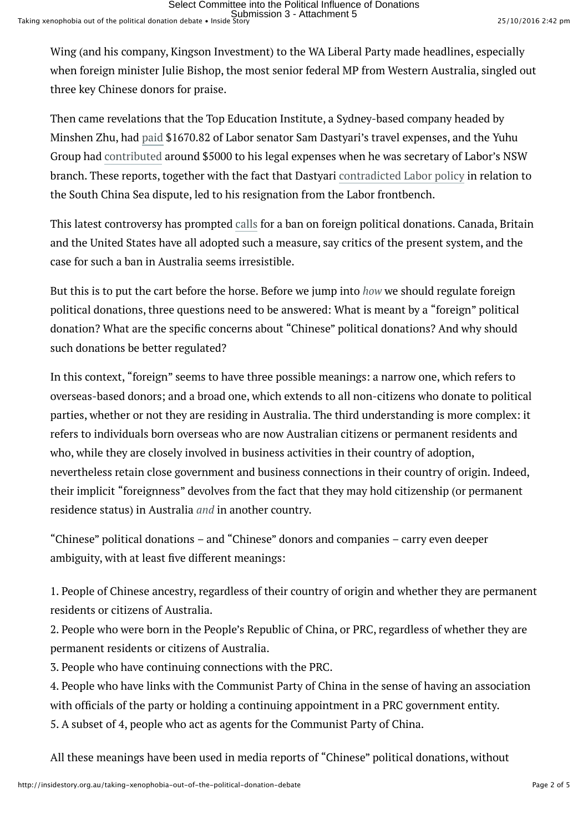Wing (and his company, Kingson Investment) to the WA Liberal Party made headlines, especially when foreign minister Julie Bishop, the most senior federal MP from Western Australia, singled out three key Chinese donors for praise.

Then came revelations that the Top Education Institute, a Sydney-based company headed by Minshen Zhu, had [paid](http://www.abc.net.au/news/2016-08-31/dastyari-says-he-was-wrong-to-let-china-linked-company-pay-bill/7800930) \$1670.82 of Labor senator Sam Dastyari's travel expenses, and the Yuhu Group had [contributed](http://www.smh.com.au/federal-politics/political-news/chinese-donor-the-yuhu-group-steps-in-to-help-sam-dastyari-20150327-1m9be2.html) around \$5000 to his legal expenses when he was secretary of Labor's NSW branch. These reports, together with the fact that Dastyari [contradicted Labor policy](http://www.smh.com.au/federal-politics/political-news/sam-dastyari-contradicted-labor-policy-backed-chinas-position-in-sea-dispute-at-event-with-donor-20160831-gr60hv.html) in relation to the South China Sea dispute, led to his resignation from the Labor frontbench.

This latest controversy has prompted [calls](http://www.abc.net.au/news/2016-08-22/talk-of-overseas-political-donations-ban-following/7775346) for a ban on foreign political donations. Canada, Britain and the United States have all adopted such a measure, say critics of the present system, and the case for such a ban in Australia seems irresistible.

But this is to put the cart before the horse. Before we jump into *how* we should regulate foreign political donations, three questions need to be answered: What is meant by a "foreign" political donation? What are the specific concerns about "Chinese" political donations? And why should such donations be better regulated?

In this context, "foreign" seems to have three possible meanings: a narrow one, which refers to overseas-based donors; and a broad one, which extends to all non-citizens who donate to political parties, whether or not they are residing in Australia. The third understanding is more complex: it refers to individuals born overseas who are now Australian citizens or permanent residents and who, while they are closely involved in business activities in their country of adoption, nevertheless retain close government and business connections in their country of origin. Indeed, their implicit "foreignness" devolves from the fact that they may hold citizenship (or permanent residence status) in Australia *and* in another country.

"Chinese" political donations – and "Chinese" donors and companies – carry even deeper ambiguity, with at least five different meanings:

1. People of Chinese ancestry, regardless of their country of origin and whether they are permanent residents or citizens of Australia.

2. People who were born in the People's Republic of China, or PRC, regardless of whether they are permanent residents or citizens of Australia.

3. People who have continuing connections with the PRC.

4. People who have links with the Communist Party of China in the sense of having an association with officials of the party or holding a continuing appointment in a PRC government entity.

5. A subset of 4, people who act as agents for the Communist Party of China.

All these meanings have been used in media reports of "Chinese" political donations, without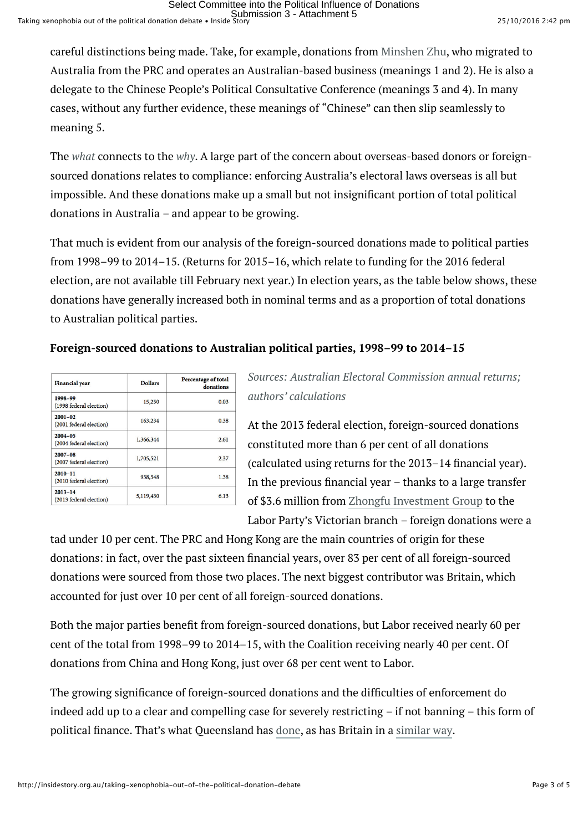careful distinctions being made. Take, for example, donations from [Minshen Zhu,](http://www.smh.com.au/federal-politics/political-news/minshen-zhu-is-this-australias-most-connected-chinese-political-donor-20160901-gr6a1f.html) who migrated to Australia from the PRC and operates an Australian-based business (meanings 1 and 2). He is also a delegate to the Chinese People's Political Consultative Conference (meanings 3 and 4). In many cases, without any further evidence, these meanings of "Chinese" can then slip seamlessly to meaning 5.

The *what* connects to the *why*. A large part of the concern about overseas-based donors or foreignsourced donations relates to compliance: enforcing Australia's electoral laws overseas is all but impossible. And these donations make up a small but not insignificant portion of total political donations in Australia – and appear to be growing.

That much is evident from our analysis of the foreign-sourced donations made to political parties from 1998–99 to 2014–15. (Returns for 2015–16, which relate to funding for the 2016 federal election, are not available till February next year.) In election years, as the table below shows, these donations have generally increased both in nominal terms and as a proportion of total donations to Australian political parties.

## **Foreign-sourced donations to Australian political parties, 1998–99 to 2014–15**

| <b>Financial year</b>                  | <b>Dollars</b> | <b>Percentage of total</b><br>donations |
|----------------------------------------|----------------|-----------------------------------------|
| 1998-99<br>(1998 federal election)     | 15,250         | 0.03                                    |
| $2001 - 02$<br>(2001 federal election) | 163,234        | 0.38                                    |
| $2004 - 05$<br>(2004 federal election) | 1,366,344      | 2.61                                    |
| $2007 - 08$<br>(2007 federal election) | 1,705,521      | 2.37                                    |
| $2010 - 11$<br>(2010 federal election) | 958,548        | 1.38                                    |
| $2013 - 14$<br>(2013 federal election) | 5,119,430      | 6.13                                    |

*Sources: Australian Electoral Commission annual returns; authors' calculations*

At the 2013 federal election, foreign-sourced donations constituted more than 6 per cent of all donations (calculated using returns for the 2013–14 financial year). In the previous financial year – thanks to a large transfer of \$3.6 million from [Zhongfu Investment Group](http://www.zfinvest.com/new/en/index.asp) to the Labor Party's Victorian branch – foreign donations were a

tad under 10 per cent. The PRC and Hong Kong are the main countries of origin for these donations: in fact, over the past sixteen financial years, over 83 per cent of all foreign-sourced donations were sourced from those two places. The next biggest contributor was Britain, which accounted for just over 10 per cent of all foreign-sourced donations.

Both the major parties benefit from foreign-sourced donations, but Labor received nearly 60 per cent of the total from 1998–99 to 2014–15, with the Coalition receiving nearly 40 per cent. Of donations from China and Hong Kong, just over 68 per cent went to Labor.

The growing significance of foreign-sourced donations and the difficulties of enforcement do indeed add up to a clear and compelling case for severely restricting – if not banning – this form of political finance. That's what Queensland has [done,](http://www.austlii.edu.au/au/legis/qld/consol_act/ea1992103/s270.html) as has Britain in a [similar way.](http://www.legislation.gov.uk/ukpga/2000/41/section/54)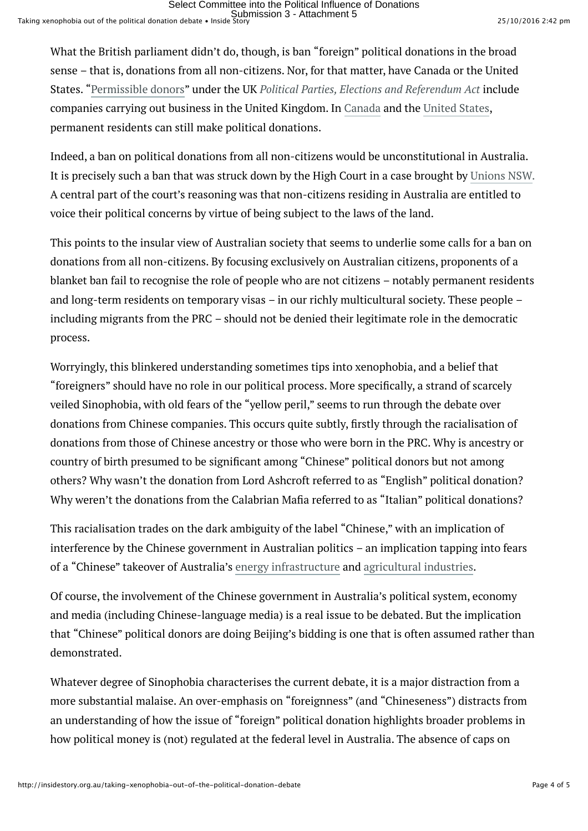What the British parliament didn't do, though, is ban "foreign" political donations in the broad sense – that is, donations from all non-citizens. Nor, for that matter, have Canada or the United States. ["Permissible donors"](http://www.legislation.gov.uk/ukpga/2000/41/section/54) under the UK *Political Parties, Elections and Referendum Act* include companies carrying out business in the United Kingdom. In [Canada](http://laws.justice.gc.ca/eng/acts/e-2.01/page-43.html%23h-118) and the [United States](https://www.gpo.gov/fdsys/pkg/USCODE-2006-title2/pdf/USCODE-2006-title2-chap14-subchapI-sec441e.pdf), permanent residents can still make political donations.

Indeed, a ban on political donations from all non-citizens would be unconstitutional in Australia. It is precisely such a ban that was struck down by the High Court in a case brought by [Unions NSW](http://www.austlii.edu.au/au/cases/cth/HCA/2013/58.html)*.* A central part of the court's reasoning was that non-citizens residing in Australia are entitled to voice their political concerns by virtue of being subject to the laws of the land.

This points to the insular view of Australian society that seems to underlie some calls for a ban on donations from all non-citizens. By focusing exclusively on Australian citizens, proponents of a blanket ban fail to recognise the role of people who are not citizens – notably permanent residents and long-term residents on temporary visas – in our richly multicultural society. These people – including migrants from the PRC – should not be denied their legitimate role in the democratic process.

Worryingly, this blinkered understanding sometimes tips into xenophobia, and a belief that "foreigners" should have no role in our political process. More specifically, a strand of scarcely veiled Sinophobia, with old fears of the "yellow peril," seems to run through the debate over donations from Chinese companies. This occurs quite subtly, firstly through the racialisation of donations from those of Chinese ancestry or those who were born in the PRC. Why is ancestry or country of birth presumed to be significant among "Chinese" political donors but not among others? Why wasn't the donation from Lord Ashcroft referred to as "English" political donation? Why weren't the donations from the Calabrian Mafia referred to as "Italian" political donations?

This racialisation trades on the dark ambiguity of the label "Chinese," with an implication of interference by the Chinese government in Australian politics – an implication tapping into fears of a "Chinese" takeover of Australia's [energy infrastructure](http://www.abc.net.au/news/2016-08-21/chinese-investment-in-the-australian-power-grid/7766086) and [agricultural industries.](http://www.afr.com/real-estate/chinas-hunger-for-australian-agricultural-land-only-the-beginning-20160420-gobh2t)

Of course, the involvement of the Chinese government in Australia's political system, economy and media (including Chinese-language media) is a real issue to be debated. But the implication that "Chinese" political donors are doing Beijing's bidding is one that is often assumed rather than demonstrated.

Whatever degree of Sinophobia characterises the current debate, it is a major distraction from a more substantial malaise. An over-emphasis on "foreignness" (and "Chineseness") distracts from an understanding of how the issue of "foreign" political donation highlights broader problems in how political money is (not) regulated at the federal level in Australia. The absence of caps on